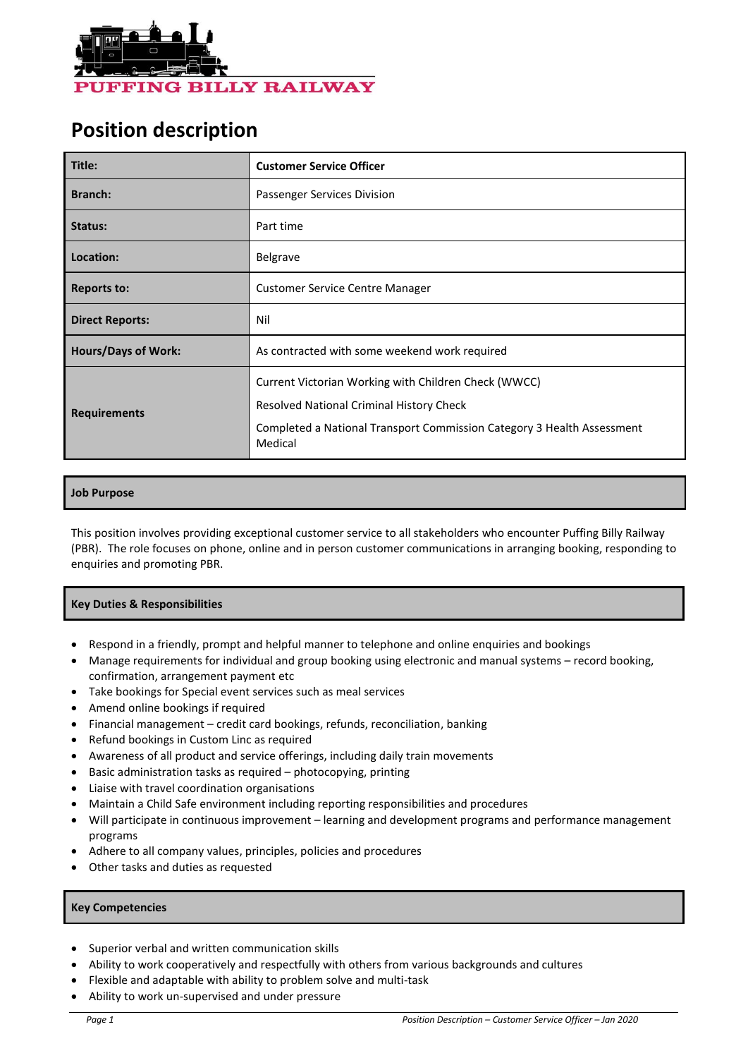

# **Position description**

| Title:                     | <b>Customer Service Officer</b>                                                                                                                                                       |  |  |
|----------------------------|---------------------------------------------------------------------------------------------------------------------------------------------------------------------------------------|--|--|
| <b>Branch:</b>             | Passenger Services Division                                                                                                                                                           |  |  |
| Status:                    | Part time                                                                                                                                                                             |  |  |
| Location:                  | <b>Belgrave</b>                                                                                                                                                                       |  |  |
| <b>Reports to:</b>         | <b>Customer Service Centre Manager</b>                                                                                                                                                |  |  |
| <b>Direct Reports:</b>     | Nil                                                                                                                                                                                   |  |  |
| <b>Hours/Days of Work:</b> | As contracted with some weekend work required                                                                                                                                         |  |  |
| <b>Requirements</b>        | Current Victorian Working with Children Check (WWCC)<br>Resolved National Criminal History Check<br>Completed a National Transport Commission Category 3 Health Assessment<br>Medical |  |  |

# **Job Purpose**

This position involves providing exceptional customer service to all stakeholders who encounter Puffing Billy Railway (PBR). The role focuses on phone, online and in person customer communications in arranging booking, responding to enquiries and promoting PBR.

### **Key Duties & Responsibilities**

- Respond in a friendly, prompt and helpful manner to telephone and online enquiries and bookings
- Manage requirements for individual and group booking using electronic and manual systems record booking, confirmation, arrangement payment etc
- Take bookings for Special event services such as meal services
- Amend online bookings if required
- Financial management credit card bookings, refunds, reconciliation, banking
- Refund bookings in Custom Linc as required
- Awareness of all product and service offerings, including daily train movements
- Basic administration tasks as required photocopying, printing
- Liaise with travel coordination organisations
- Maintain a Child Safe environment including reporting responsibilities and procedures
- Will participate in continuous improvement learning and development programs and performance management programs
- Adhere to all company values, principles, policies and procedures
- Other tasks and duties as requested

# **Key Competencies**

- Superior verbal and written communication skills
- Ability to work cooperatively and respectfully with others from various backgrounds and cultures
- Flexible and adaptable with ability to problem solve and multi-task
- Ability to work un-supervised and under pressure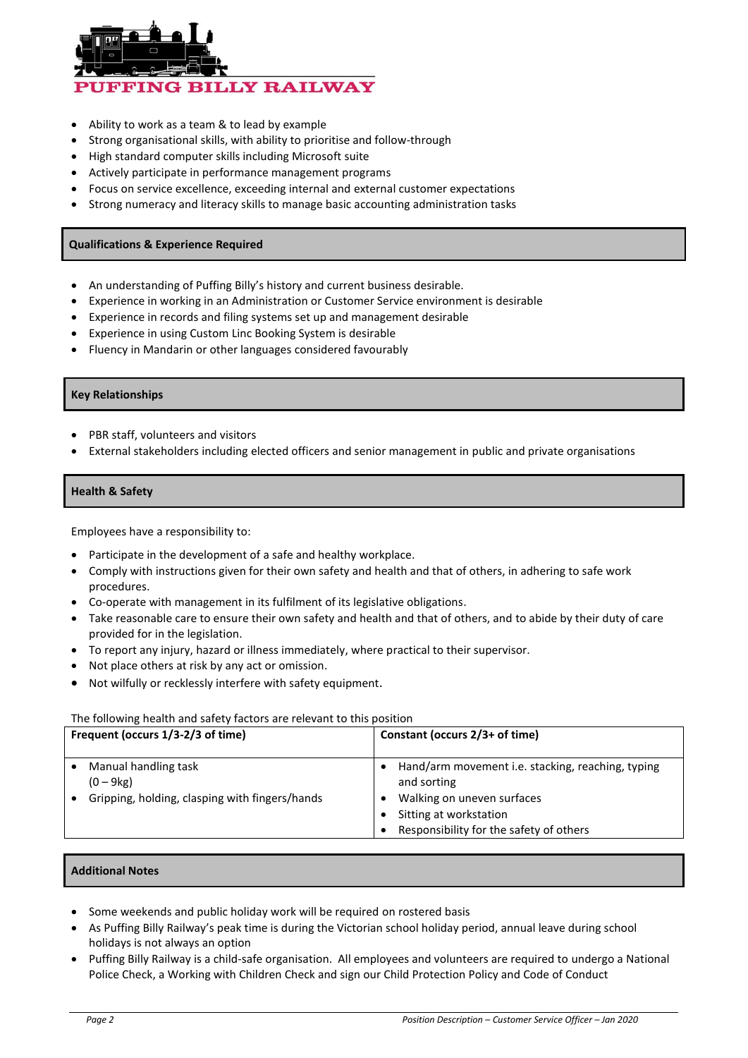

- Ability to work as a team & to lead by example
- Strong organisational skills, with ability to prioritise and follow-through
- High standard computer skills including Microsoft suite
- Actively participate in performance management programs
- Focus on service excellence, exceeding internal and external customer expectations
- Strong numeracy and literacy skills to manage basic accounting administration tasks

#### **Qualifications & Experience Required**

- An understanding of Puffing Billy's history and current business desirable.
- Experience in working in an Administration or Customer Service environment is desirable
- Experience in records and filing systems set up and management desirable
- Experience in using Custom Linc Booking System is desirable
- Fluency in Mandarin or other languages considered favourably

#### **Key Relationships**

- PBR staff, volunteers and visitors
- External stakeholders including elected officers and senior management in public and private organisations

#### **Health & Safety**

Employees have a responsibility to:

- Participate in the development of a safe and healthy workplace.
- Comply with instructions given for their own safety and health and that of others, in adhering to safe work procedures.
- Co-operate with management in its fulfilment of its legislative obligations.
- Take reasonable care to ensure their own safety and health and that of others, and to abide by their duty of care provided for in the legislation.
- To report any injury, hazard or illness immediately, where practical to their supervisor.
- Not place others at risk by any act or omission.
- Not wilfully or recklessly interfere with safety equipment.

#### The following health and safety factors are relevant to this position

| Frequent (occurs 1/3-2/3 of time)                                                     | Constant (occurs 2/3+ of time)                                                                                                                                      |  |
|---------------------------------------------------------------------------------------|---------------------------------------------------------------------------------------------------------------------------------------------------------------------|--|
| Manual handling task<br>$(0 - 9kg)$<br>Gripping, holding, clasping with fingers/hands | Hand/arm movement i.e. stacking, reaching, typing<br>and sorting<br>Walking on uneven surfaces<br>Sitting at workstation<br>Responsibility for the safety of others |  |

#### **Additional Notes**

- Some weekends and public holiday work will be required on rostered basis
- As Puffing Billy Railway's peak time is during the Victorian school holiday period, annual leave during school holidays is not always an option
- Puffing Billy Railway is a child-safe organisation. All employees and volunteers are required to undergo a National Police Check, a Working with Children Check and sign our Child Protection Policy and Code of Conduct